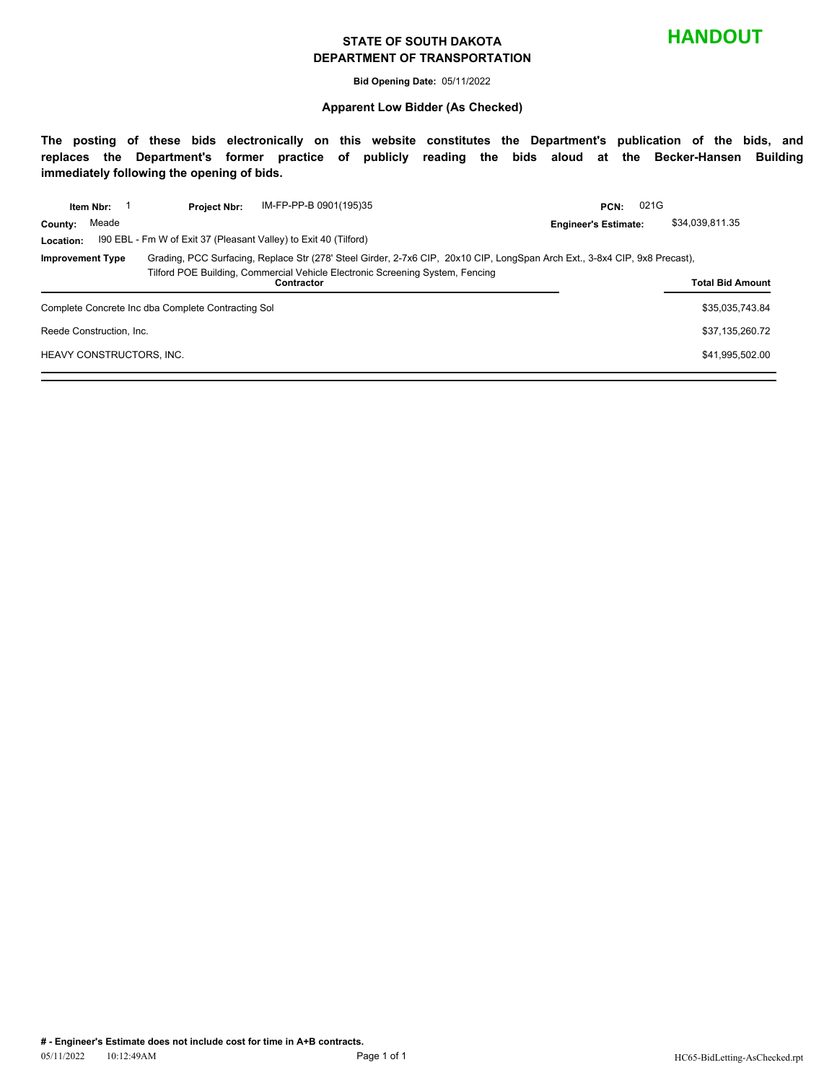#### **STATE OF SOUTH DAKOTA DEPARTMENT OF TRANSPORTATION**

**HANDOUT**

**Bid Opening Date:** 05/11/2022

#### **Apparent Low Bidder (As Checked)**

**The posting of these bids electronically on this website constitutes the Department's publication of the bids, and replaces the Department's former practice of publicly reading the bids aloud at the Becker-Hansen Building immediately following the opening of bids.**

|                                                    | Item Nbr:               | <b>Project Nbr:</b>                                                                                                        | IM-FP-PP-B 0901(195)35 | PCN:                        | 021G            |
|----------------------------------------------------|-------------------------|----------------------------------------------------------------------------------------------------------------------------|------------------------|-----------------------------|-----------------|
| County:                                            | Meade                   |                                                                                                                            |                        | <b>Engineer's Estimate:</b> | \$34,039,811.35 |
| Location:                                          |                         | 190 EBL - Fm W of Exit 37 (Pleasant Valley) to Exit 40 (Tilford)                                                           |                        |                             |                 |
| <b>Improvement Type</b>                            |                         | Grading, PCC Surfacing, Replace Str (278' Steel Girder, 2-7x6 CIP, 20x10 CIP, LongSpan Arch Ext., 3-8x4 CIP, 9x8 Precast), |                        |                             |                 |
|                                                    | <b>Total Bid Amount</b> |                                                                                                                            |                        |                             |                 |
| Complete Concrete Inc dba Complete Contracting Sol | \$35.035.743.84         |                                                                                                                            |                        |                             |                 |
| Reede Construction, Inc.                           | \$37,135,260.72         |                                                                                                                            |                        |                             |                 |
| HEAVY CONSTRUCTORS, INC.                           | \$41,995,502.00         |                                                                                                                            |                        |                             |                 |
|                                                    |                         |                                                                                                                            |                        |                             |                 |